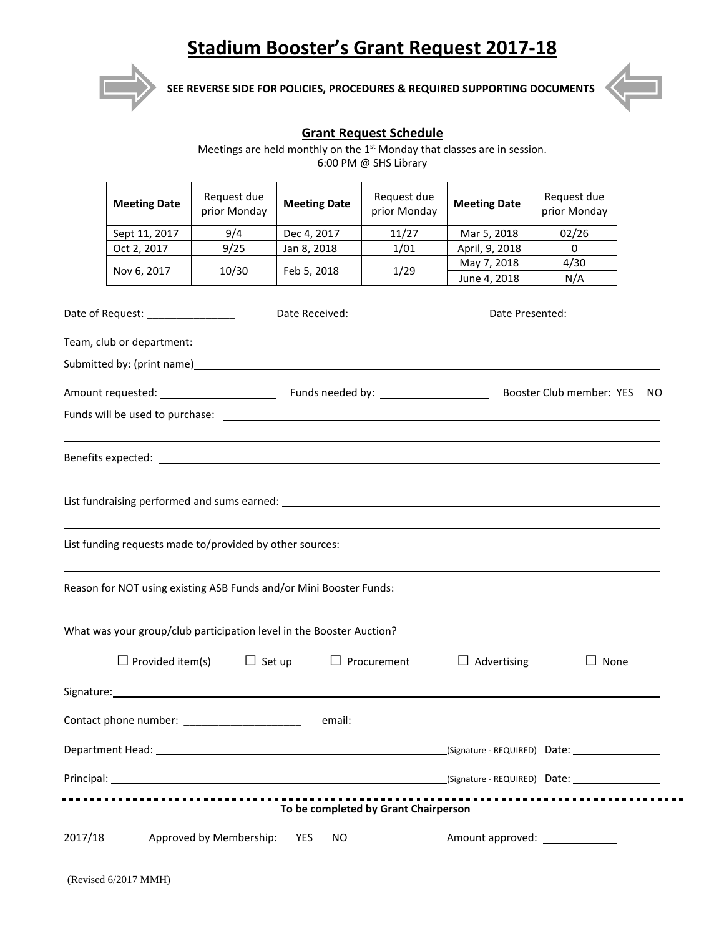## **Stadium Booster's Grant Request 2017-18**



**SEE REVERSE SIDE FOR POLICIES, PROCEDURES & REQUIRED SUPPORTING DOCUMENTS**



. .

## **Grant Request Schedule**

Meetings are held monthly on the  $1<sup>st</sup>$  Monday that classes are in session. 6:00 PM @ SHS Library

|                                                                          | <b>Meeting Date</b>     | Request due<br>prior Monday                                                             | <b>Meeting Date</b> | Request due<br>prior Monday          | <b>Meeting Date</b> | Request due<br>prior Monday                                                                                       |  |
|--------------------------------------------------------------------------|-------------------------|-----------------------------------------------------------------------------------------|---------------------|--------------------------------------|---------------------|-------------------------------------------------------------------------------------------------------------------|--|
|                                                                          | Sept 11, 2017           | 9/4                                                                                     | Dec 4, 2017         | 11/27                                | Mar 5, 2018         | 02/26                                                                                                             |  |
|                                                                          | Oct 2, 2017             | 9/25                                                                                    | Jan 8, 2018         | 1/01                                 | April, 9, 2018      | $\Omega$                                                                                                          |  |
|                                                                          | Nov 6, 2017             | 10/30                                                                                   | Feb 5, 2018         | 1/29                                 | May 7, 2018         | 4/30                                                                                                              |  |
|                                                                          |                         |                                                                                         |                     |                                      | June 4, 2018        | N/A                                                                                                               |  |
| Date of Request: __________________<br>Date Received: __________________ |                         |                                                                                         |                     |                                      |                     |                                                                                                                   |  |
|                                                                          |                         |                                                                                         |                     |                                      |                     |                                                                                                                   |  |
|                                                                          |                         |                                                                                         |                     |                                      |                     |                                                                                                                   |  |
|                                                                          |                         |                                                                                         |                     |                                      |                     | Amount requested: <u>Commit Committee Committee Committee Committee Club and the New York Club member: YES NO</u> |  |
|                                                                          |                         |                                                                                         |                     |                                      |                     |                                                                                                                   |  |
|                                                                          |                         |                                                                                         |                     |                                      |                     |                                                                                                                   |  |
|                                                                          |                         |                                                                                         |                     |                                      |                     |                                                                                                                   |  |
|                                                                          |                         |                                                                                         |                     |                                      |                     | Reason for NOT using existing ASB Funds and/or Mini Booster Funds: _________________________________              |  |
|                                                                          |                         | What was your group/club participation level in the Booster Auction?                    |                     |                                      |                     |                                                                                                                   |  |
|                                                                          | $\Box$ Provided item(s) | $\Box$ Set up                                                                           |                     | $\Box$ Procurement                   | $\Box$ Advertising  | $\Box$ None                                                                                                       |  |
|                                                                          |                         | Signature: Management Contractor Contractor Contractor Contractor Contractor Contractor |                     |                                      |                     |                                                                                                                   |  |
|                                                                          |                         |                                                                                         |                     |                                      |                     |                                                                                                                   |  |
|                                                                          |                         |                                                                                         |                     |                                      |                     |                                                                                                                   |  |
|                                                                          |                         |                                                                                         |                     |                                      |                     |                                                                                                                   |  |
|                                                                          |                         |                                                                                         |                     | To be completed by Grant Chairperson |                     |                                                                                                                   |  |
| 2017/18                                                                  |                         | Approved by Membership:                                                                 | YES<br><b>NO</b>    |                                      |                     |                                                                                                                   |  |